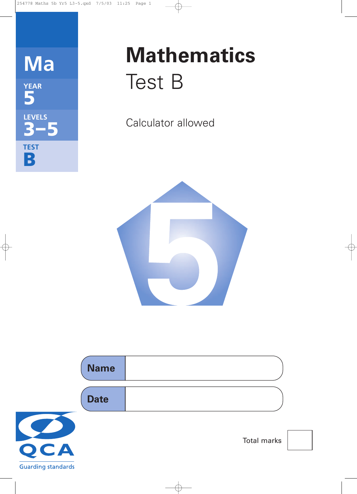

# **Mathematics** Test B

Calculator allowed



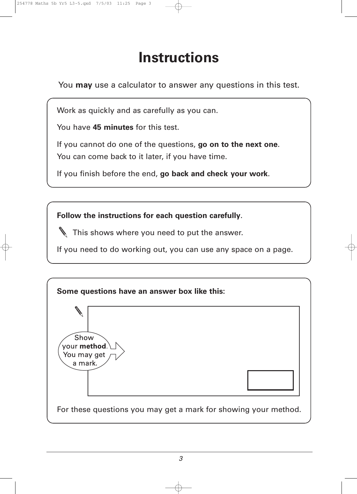# **Instructions**

You **may** use a calculator to answer any questions in this test.

Work as quickly and as carefully as you can.

You have **45 minutes** for this test.

If you cannot do one of the questions, **go on to the next one**. You can come back to it later, if you have time.

If you finish before the end, **go back and check your work**.

**Follow the instructions for each question carefully**.

This shows where you need to put the answer.

If you need to do working out, you can use any space on a page.

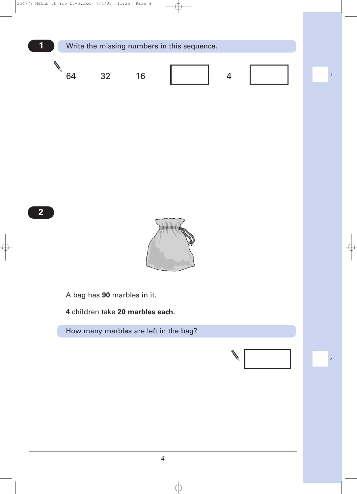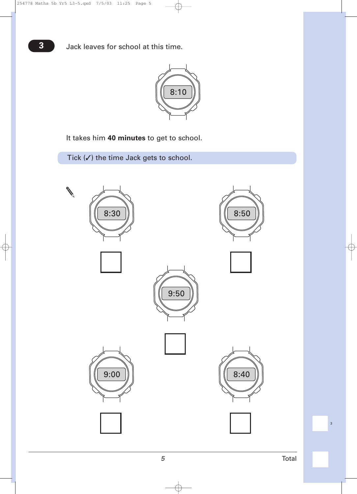

It takes him **40 minutes** to get to school.

Tick  $(V)$  the time Jack gets to school.



|<br>|<br>|<br>|<br>|<br>|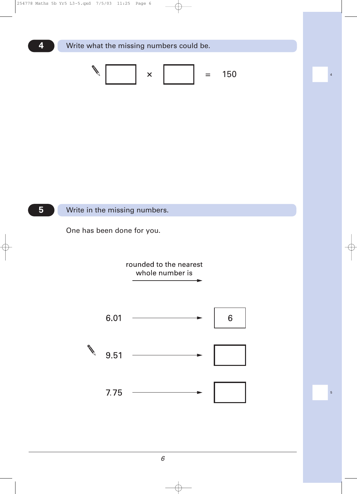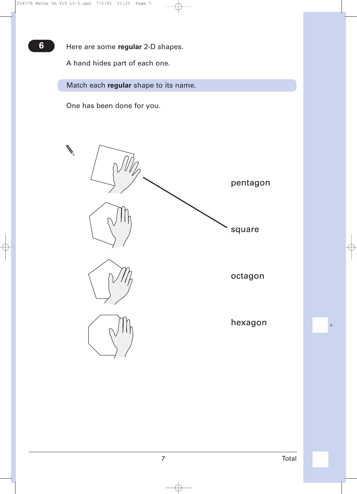**6** Here are some **regular** 2-D shapes.

A hand hides part of each one.

Match each **regular** shape to its name.

One has been done for you.



!6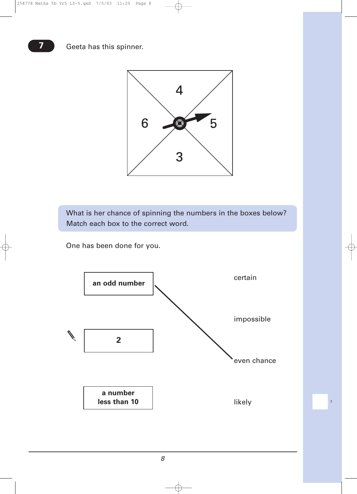

What is her chance of spinning the numbers in the boxes below? Match each box to the correct word.

One has been done for you.



**17**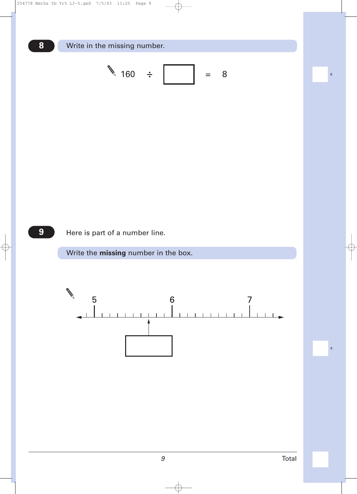

**9** Here is part of a number line.

Write the **missing** number in the box.



|<br>|<br>|<br>|<br>|<br>|<br>|<br>|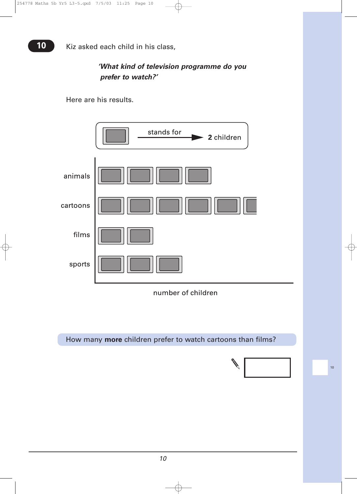### *'What kind of television programme do you prefer to watch?'*

Here are his results.



How many **more** children prefer to watch cartoons than films?

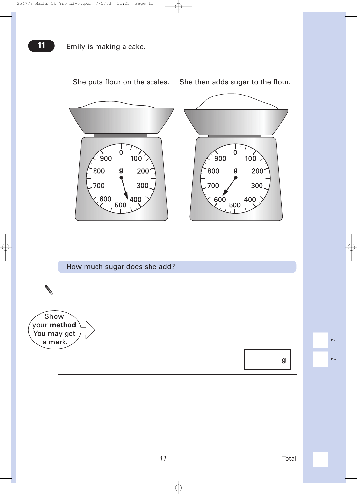



She puts flour on the scales. She then adds sugar to the flour.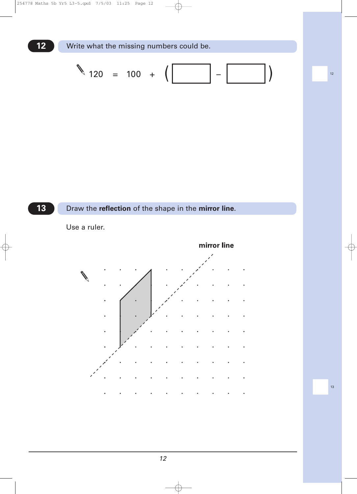

#### **13** Draw the **reflection** of the shape in the **mirror line**.



Use a ruler.

|<br>|<br>|<br>|<br>|<br>|<br>|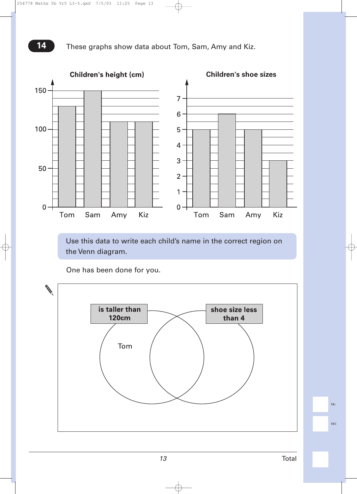

Use this data to write each child's name in the correct region on the Venn diagram.

One has been done for you.



|<br>|-<br>| 14ii<br>|

|<br>|-<br>| 14i<br>|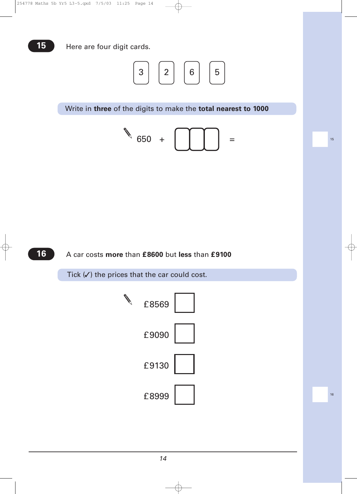

Write in **three** of the digits to make the **total nearest to 1000**



|<br>|<br>|<br>|<br>|<br>|<br>|

|<br>|<br>|<br>|<br>|<br>|<br>|

## **16** A car costs **more** than **£8600** but **less** than **£9100**

Tick  $(V)$  the prices that the car could cost.



*14*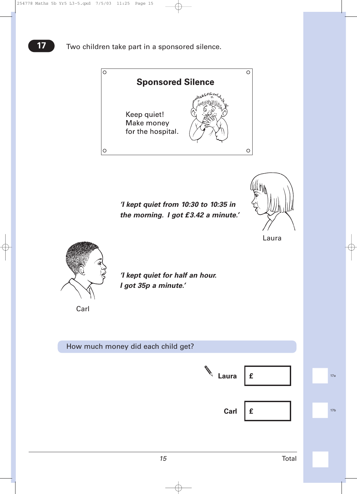

*'I kept quiet from 10:30 to 10:35 in the morning. I got £3.42 a minute.'*



Laura



*'I kept quiet for half an hour. I got 35p a minute.'*

Carl

| How much money did each child get? |            |   |                 |
|------------------------------------|------------|---|-----------------|
|                                    | V<br>Laura | £ | 17a             |
|                                    | Carl       | £ | 17 <sub>b</sub> |
|                                    |            |   |                 |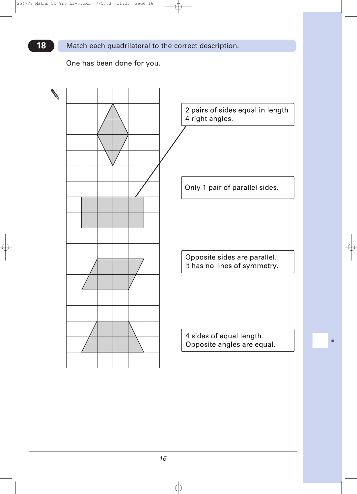Match each quadrilateral to the correct description.

One has been done for you.

**18**



|<br>|<br>|<br>|<br>|<br>|<br>|

*16*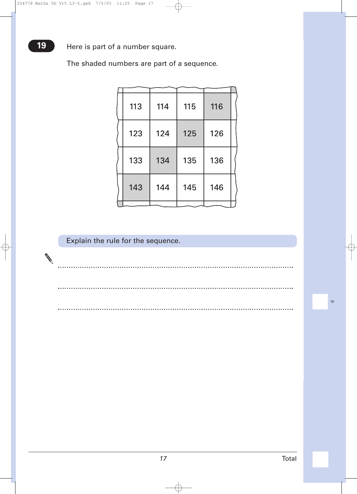**19** Here is part of a number square.

The shaded numbers are part of a sequence.

| 113 | 114 | 115 | 116 |  |
|-----|-----|-----|-----|--|
| 123 | 124 | 125 | 126 |  |
| 133 | 134 | 135 | 136 |  |
| 143 | 144 | 145 | 146 |  |
|     |     |     |     |  |

# Explain the rule for the sequence.

. . . . . . . . . . . . . .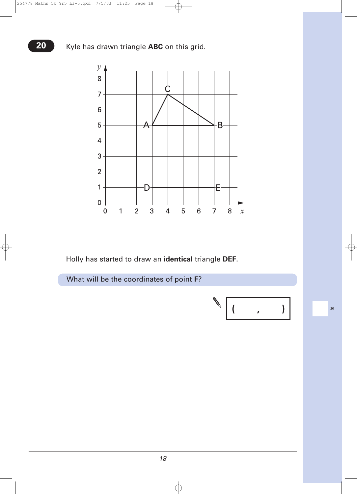

Holly has started to draw an **identical** triangle **DEF**.



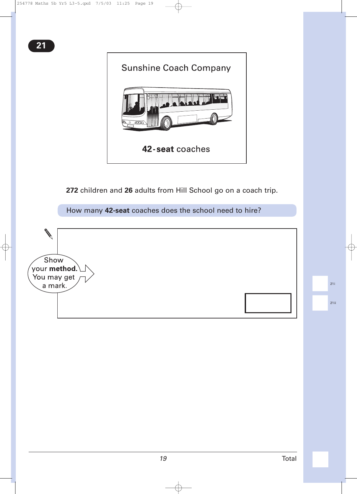

**272** children and **26** adults from Hill School go on a coach trip.

How many **42-seat** coaches does the school need to hire?

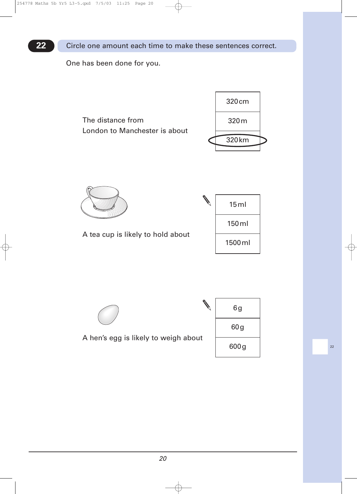**22** Circle one amount each time to make these sentences correct.

One has been done for you.









A hen's egg is likely to weigh about

| 6g   |  |
|------|--|
| 60g  |  |
| 600g |  |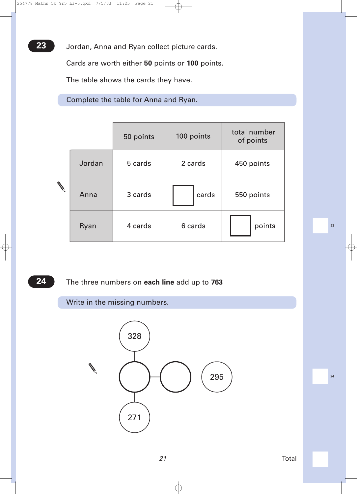Jordan, Anna and Ryan collect picture cards.

Cards are worth either **50** points or **100** points.

The table shows the cards they have.

Complete the table for Anna and Ryan.

|               |        | 50 points | 100 points | total number<br>of points |
|---------------|--------|-----------|------------|---------------------------|
|               | Jordan | 5 cards   | 2 cards    | 450 points                |
| $\mathscr{C}$ | Anna   | 3 cards   | cards      | 550 points                |
|               | Ryan   | 4 cards   | 6 cards    | points                    |

**24** The three numbers on **each line** add up to **763**

Write in the missing numbers.



|<br>|<br>|<br>|<br>|<br>|<br>|<br>|<br>|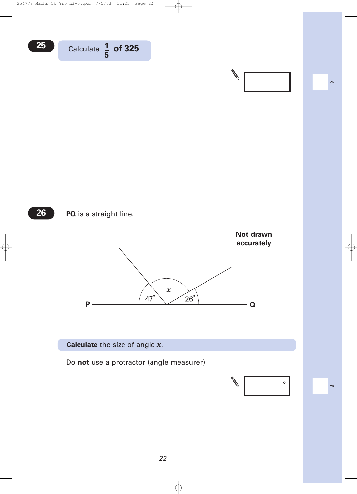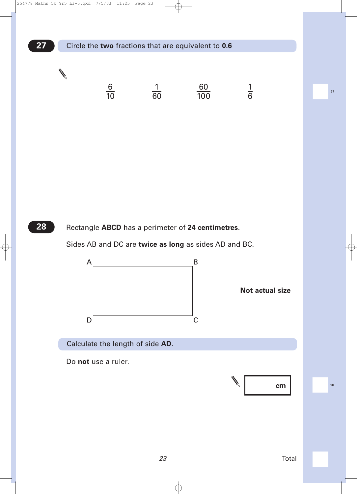

Rectangle **ABCD** has a perimeter of **24 centimetres**.

Sides AB and DC are **twice as long** as sides AD and BC.



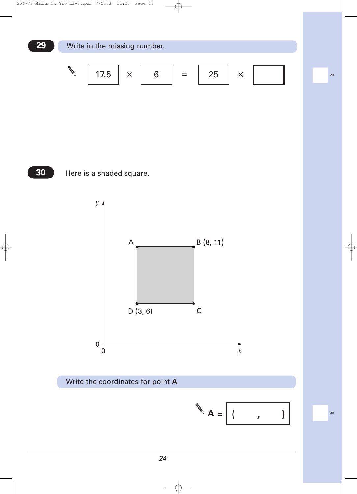







$$
A = \boxed{(1 \quad , \quad )}
$$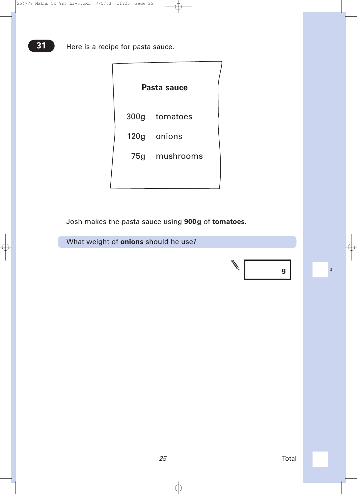|  | Pasta sauce   |  |
|--|---------------|--|
|  | 300g tomatoes |  |
|  | 120g onions   |  |
|  | 75g mushrooms |  |
|  |               |  |

Josh makes the pasta sauce using **900g** of **tomatoes**.

What weight of **onions** should he use?

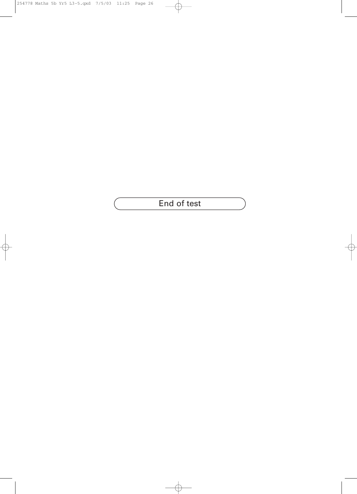End of test